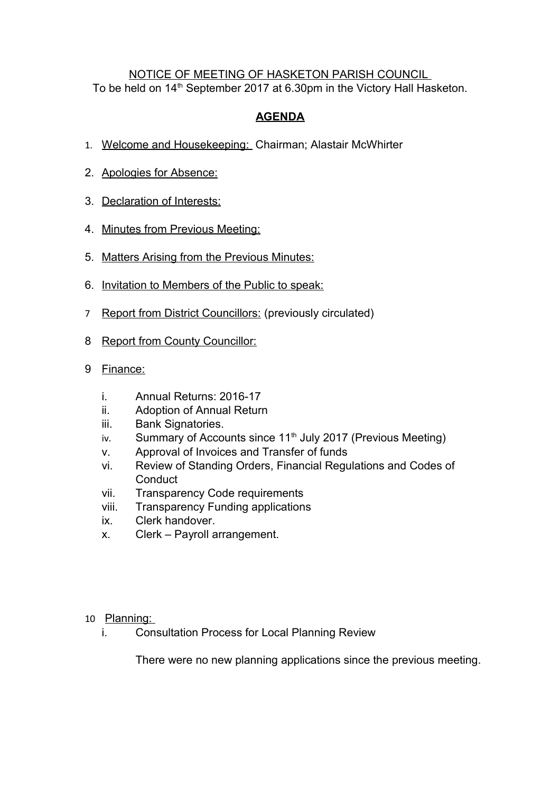## NOTICE OF MEETING OF HASKETON PARISH COUNCIL To be held on 14<sup>th</sup> September 2017 at 6.30pm in the Victory Hall Hasketon.

## **AGENDA**

- 1. Welcome and Housekeeping: Chairman; Alastair McWhirter
- 2. Apologies for Absence:
- 3. Declaration of Interests:
- 4. Minutes from Previous Meeting:
- 5. Matters Arising from the Previous Minutes:
- 6. Invitation to Members of the Public to speak:
- 7 Report from District Councillors: (previously circulated)
- 8 Report from County Councillor:
- 9 Finance:
	- i. Annual Returns: 2016-17
	- ii. Adoption of Annual Return
	- iii. Bank Signatories.
	- iv. Summary of Accounts since  $11<sup>th</sup>$  July 2017 (Previous Meeting)
	- v. Approval of Invoices and Transfer of funds
	- vi. Review of Standing Orders, Financial Regulations and Codes of **Conduct**
	- vii. Transparency Code requirements
	- viii. Transparency Funding applications
	- ix. Clerk handover.
	- x. Clerk Payroll arrangement.

## 10 Planning:

i. Consultation Process for Local Planning Review

There were no new planning applications since the previous meeting.